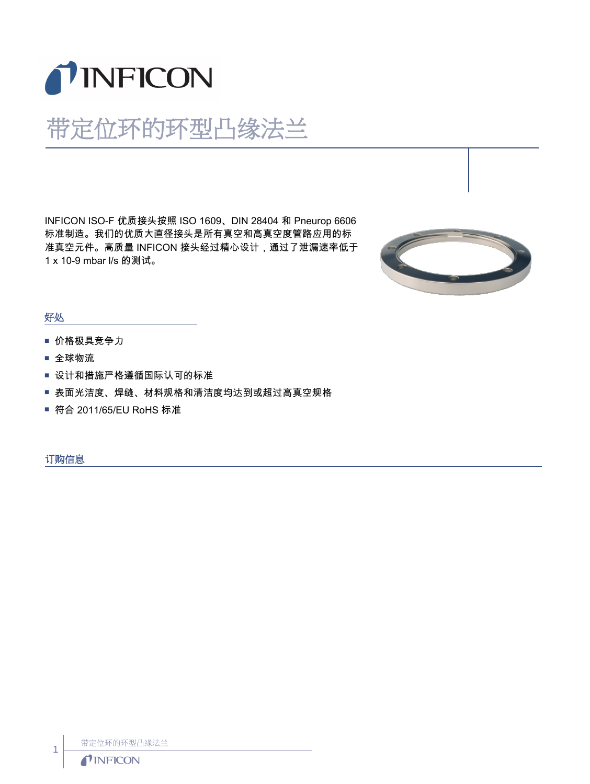

## 带定位环的环型凸缘法兰

INFICON ISO-F 优质接头按照 ISO 1609、DIN 28404 和 Pneurop 6606 标准制造。我们的优质大直径接头是所有真空和高真空度管路应用的标 准真空元件。高质量 INFICON 接头经过精心设计,通过了泄漏速率低于 1 x 10-9 mbar l/s 的测试。



## 好处

- 价格极具竞争力
- 全球物流
- 设计和措施严格遵循国际认可的标准
- 表面光洁度、焊缝、材料规格和清洁度均达到或超过高真空规格
- 符合 2011/65/EU RoHS 标准

订购信息

带定位环的环型凸缘法兰

1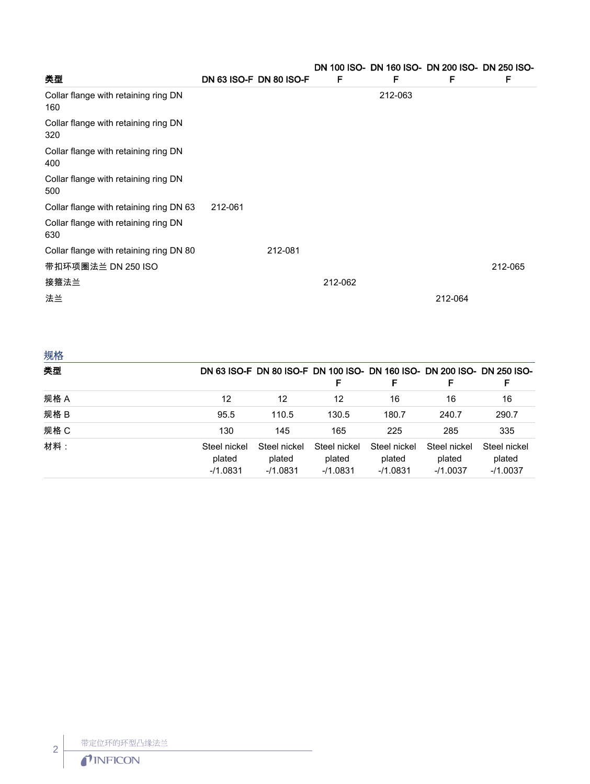|                                             |         |                         |         |         | DN 100 ISO- DN 160 ISO- DN 200 ISO- DN 250 ISO- |         |  |
|---------------------------------------------|---------|-------------------------|---------|---------|-------------------------------------------------|---------|--|
| 类型                                          |         | DN 63 ISO-F DN 80 ISO-F | F       | F       | F                                               | F       |  |
| Collar flange with retaining ring DN<br>160 |         |                         |         | 212-063 |                                                 |         |  |
| Collar flange with retaining ring DN<br>320 |         |                         |         |         |                                                 |         |  |
| Collar flange with retaining ring DN<br>400 |         |                         |         |         |                                                 |         |  |
| Collar flange with retaining ring DN<br>500 |         |                         |         |         |                                                 |         |  |
| Collar flange with retaining ring DN 63     | 212-061 |                         |         |         |                                                 |         |  |
| Collar flange with retaining ring DN<br>630 |         |                         |         |         |                                                 |         |  |
| Collar flange with retaining ring DN 80     |         | 212-081                 |         |         |                                                 |         |  |
| 带扣环项圈法兰 DN 250 ISO                          |         |                         |         |         |                                                 | 212-065 |  |
| 接箍法兰                                        |         |                         | 212-062 |         |                                                 |         |  |
| 法兰                                          |         |                         |         |         | 212-064                                         |         |  |

| 规格   |                                      |                                     |                                      |                                      |                                      |                                                                              |
|------|--------------------------------------|-------------------------------------|--------------------------------------|--------------------------------------|--------------------------------------|------------------------------------------------------------------------------|
| 类型   |                                      |                                     | F                                    | F                                    | F                                    | DN 63 ISO-F DN 80 ISO-F DN 100 ISO- DN 160 ISO- DN 200 ISO- DN 250 ISO-<br>F |
| 规格 A | 12                                   | 12                                  | 12                                   | 16                                   | 16                                   | 16                                                                           |
| 规格 B | 95.5                                 | 110.5                               | 130.5                                | 180.7                                | 240.7                                | 290.7                                                                        |
| 规格 C | 130                                  | 145                                 | 165                                  | 225                                  | 285                                  | 335                                                                          |
| 材料:  | Steel nickel<br>plated<br>$-11.0831$ | Steel nickel<br>plated<br>$-1.0831$ | Steel nickel<br>plated<br>$-11.0831$ | Steel nickel<br>plated<br>$-11.0831$ | Steel nickel<br>plated<br>$-11.0037$ | Steel nickel<br>plated<br>$-11.0037$                                         |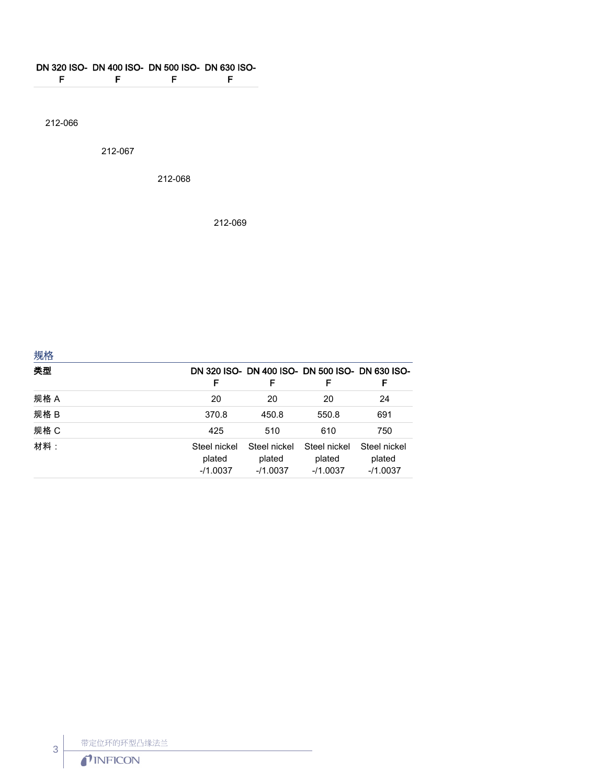## DN 320 ISO-DN 400 ISO-DN 500 ISO-DN 630 ISO-

F F F F

212-066

212-067

212-068

212-069

| 规格   |                                     |                                                      |                                     |                                      |
|------|-------------------------------------|------------------------------------------------------|-------------------------------------|--------------------------------------|
| 类型   | F                                   | DN 320 ISO- DN 400 ISO- DN 500 ISO- DN 630 ISO-<br>F | F                                   | F                                    |
| 规格 A | 20                                  | 20                                                   | 20                                  | 24                                   |
| 规格 B | 370.8                               | 450.8                                                | 550.8                               | 691                                  |
| 规格 C | 425                                 | 510                                                  | 610                                 | 750                                  |
| 材料:  | Steel nickel<br>plated<br>$-1.0037$ | Steel nickel<br>plated<br>$-11.0037$                 | Steel nickel<br>plated<br>$-1.0037$ | Steel nickel<br>plated<br>$-11.0037$ |

带定位环的环型凸缘法兰<br>
TINFICON